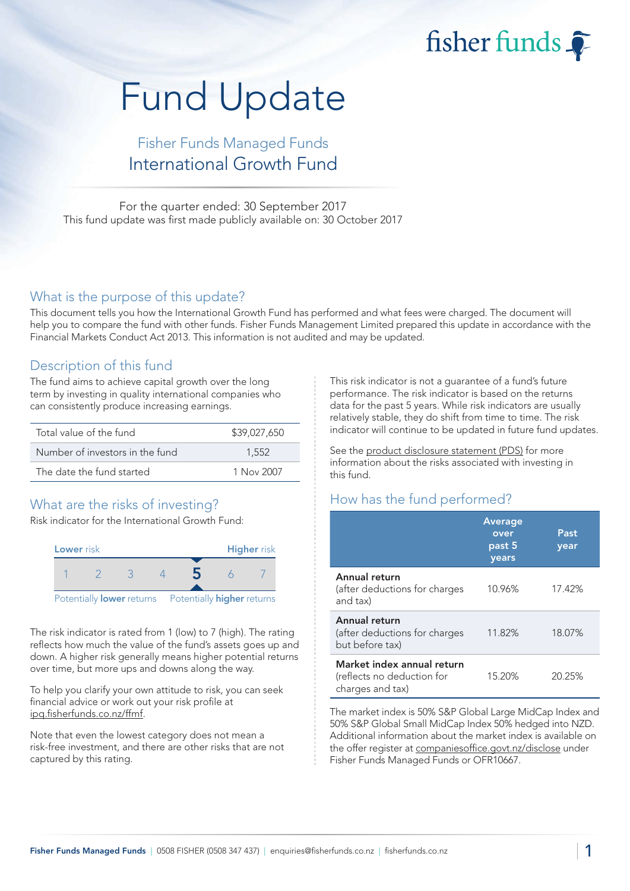fisher funds

# Fund Update

## Fisher Funds Managed Funds International Growth Fund

For the quarter ended: 30 September 2017 This fund update was first made publicly available on: 30 October 2017

#### What is the purpose of this update?

This document tells you how the International Growth Fund has performed and what fees were charged. The document will help you to compare the fund with other funds. Fisher Funds Management Limited prepared this update in accordance with the Financial Markets Conduct Act 2013. This information is not audited and may be updated.

## Description of this fund

The fund aims to achieve capital growth over the long term by investing in quality international companies who can consistently produce increasing earnings.

| Total value of the fund         | \$39,027,650 |
|---------------------------------|--------------|
| Number of investors in the fund | 1.552        |
| The date the fund started       | 1 Nov 2007   |

## What are the risks of investing?

Risk indicator for the International Growth Fund:



The risk indicator is rated from 1 (low) to 7 (high). The rating reflects how much the value of the fund's assets goes up and down. A higher risk generally means higher potential returns over time, but more ups and downs along the way.

To help you clarify your own attitude to risk, you can seek financial advice or work out your risk profile at [ipq.fisherfunds.co.nz/ffmf.](https://ipq.fisherfunds.co.nz/ffmf)

Note that even the lowest category does not mean a risk-free investment, and there are other risks that are not captured by this rating.

This risk indicator is not a guarantee of a fund's future performance. The risk indicator is based on the returns data for the past 5 years. While risk indicators are usually relatively stable, they do shift from time to time. The risk indicator will continue to be updated in future fund updates.

See the [product disclosure statement \(PDS\)](https://fisherfunds.co.nz/assets/PDS/Fisher-Funds-Managed-Funds-PDS.pdf) for more information about the risks associated with investing in this fund.

## How has the fund performed?

|                                                                              | Average<br>over<br>past 5<br>years | Past<br>year |
|------------------------------------------------------------------------------|------------------------------------|--------------|
| Annual return<br>(after deductions for charges<br>and tax)                   | 10.96%                             | 17.42%       |
| Annual return<br>(after deductions for charges<br>but before tax)            | 11.82%                             | 18.07%       |
| Market index annual return<br>(reflects no deduction for<br>charges and tax) | 15.20%                             | 20.25%       |

The market index is 50% S&P Global Large MidCap Index and 50% S&P Global Small MidCap Index 50% hedged into NZD. Additional information about the market index is available on the offer register at [companiesoffice.govt.nz/disclose](http://companiesoffice.govt.nz/disclose) under Fisher Funds Managed Funds or OFR10667.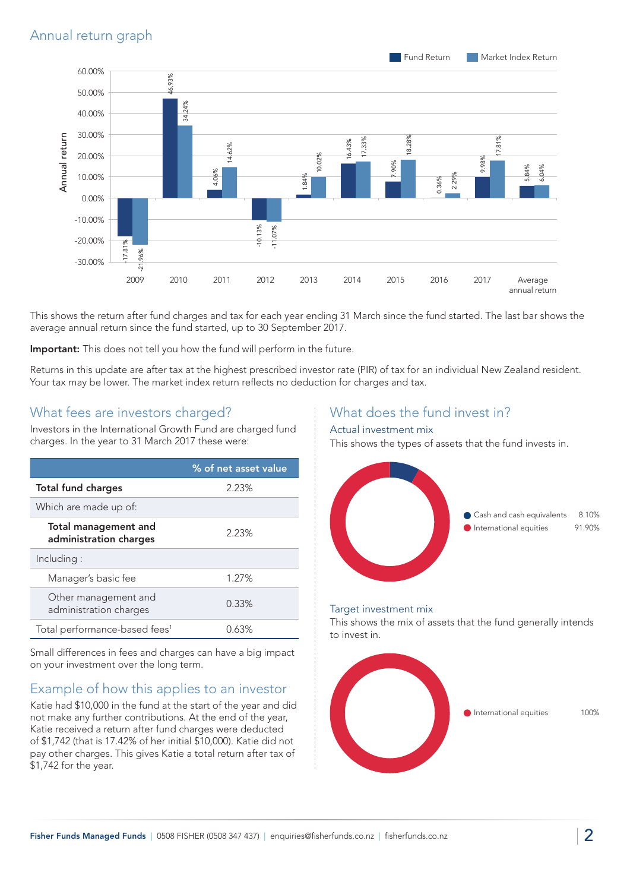

This shows the return after fund charges and tax for each year ending 31 March since the fund started. The last bar shows the average annual return since the fund started, up to 30 September 2017.

Important: This does not tell you how the fund will perform in the future.

Returns in this update are after tax at the highest prescribed investor rate (PIR) of tax for an individual New Zealand resident. Your tax may be lower. The market index return reflects no deduction for charges and tax.

#### What fees are investors charged?

Investors in the International Growth Fund are charged fund charges. In the year to 31 March 2017 these were:

|                                                | % of net asset value |
|------------------------------------------------|----------------------|
| <b>Total fund charges</b>                      | 2.23%                |
| Which are made up of:                          |                      |
| Total management and<br>administration charges | 2.23%                |
| Including:                                     |                      |
| Manager's basic fee                            | 1.27%                |
| Other management and<br>administration charges | 0.33%                |
| Total performance-based fees <sup>1</sup>      | $0.63\%$             |

Small differences in fees and charges can have a big impact on your investment over the long term.

## Example of how this applies to an investor

Katie had \$10,000 in the fund at the start of the year and did not make any further contributions. At the end of the year, Katie received a return after fund charges were deducted of \$1,742 (that is 17.42% of her initial \$10,000). Katie did not pay other charges. This gives Katie a total return after tax of \$1,742 for the year.

## What does the fund invest in?

#### Actual investment mix

This shows the types of assets that the fund invests in.



#### Target investment mix

This shows the mix of assets that the fund generally intends to invest in.